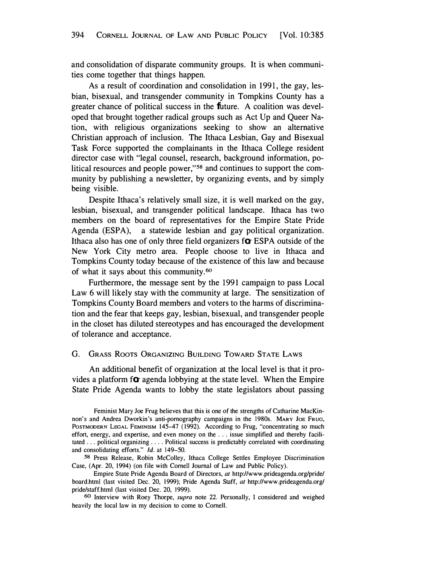and consolidation of disparate community groups. It is when communities come together that things happen.<sup>as</sup>

As a result of coordination and consolidation in 1991, the gay, lesbian, bisexual, and transgender community in Tompkins County has a greater chance of political success in the *f*uture. A coalition was developed that brought together radical groups such as Act Up and Queer Nation, with religious organizations seeking to show an alternative Christian approach of inclusion. The Ithaca Lesbian, Gay and Bisexual Task Force supported the complainants in the Ithaca College resident director case with "legal counsel, research, background information, political resources and people power,"**58** and continues to support the community by publishing a newsletter, by organizing events, and by simply being visible.

Despite Ithaca's relatively small size, it is well marked on the gay, lesbian, bisexual, and transgender political landscape. Ithaca has two members on the board of representatives for the Empire State Pride Agenda (ESPA),ano a statewide lesbian and gay political organization. Ithaca also has one of only three field organizers f*o*r ESPA outside of the New York City metro area. People choose to live in Ithaca and Tompkins County today because of the existence of this law and because of what it says about this community.**<sup>60</sup>**

Furthermore, the message sent by the 1991 campaign to pass Local Law 6 will likely stay with the community at large. The sensitization of Tompkins County Board members and voters to the harms of\_discrimination and the fear that keeps gay, lesbian, bisexual, and transgender people in the closet has diluted stereotypes and has encouraged the development of tolerance and acceptance.

## G. GRASS ROOTS ORGANIZING BUILDING TOWARD STATE LAWS

An additional benefit of organization at the local level is that it provides a platform f*o*r agenda lobbying at the state level. When the Empire State Pride Agenda wants to lobby the state legislators about passing

**58** Press Release, Robin McColley, Ithaca College Settles Employee Discrimination Case, (Apr. 20, 1994) (on file with Cornell Journal of Law and Public Policy). nts Empire State Pride Agenda Board of Directors, *at* http://www.prideagenda.org/pride/

board.html (last visited Dec. 20, 1999); Pride Agenda Staff, *at* http://www.prideagenda.org/ pride/staff.html (last visited Dec. 20, 1999).

**60** Interview with Roey Thorpe, *supra* note 22. Personally, I considered and weighed heavily the local law in my decision to come to Cornell.

a to Feminist Mary Joe Frug believes that this is one of the strengths of Catharine MacKinnon's and Andrea Dworkin's anti-pornography campaigns in the 1980s. MARY JOE FRUG, PosTMODERN LEGAL FEMINISM 145-47 ( 1992). According to Frug, "concentrating so much effort, energy, and expertise, and even money on the ... issue simplified and thereby facilitated ... political organizing .... Political success is predictably correlated with coordinating and consolidating effor*t*s." *Id.* at 149-50.